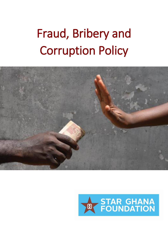# Fraud, Bribery and Corruption Policy



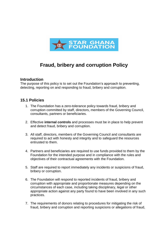

# **Fraud, bribery and corruption Policy**

#### **Introduction**

The purpose of this policy is to set out the Foundation's approach to preventing, detecting, reporting on and responding to fraud, bribery and corruption.

# **15.1 Policies**

- 1. The Foundation has a zero-tolerance policy towards fraud, bribery and corruption committed by staff, directors, members of the Governing Council, consultants, partners or beneficiaries.
- 2. Effective **internal controls** and processes must be in place to help prevent and detect fraud, bribery and corruption.
- 3. All staff, directors, members of the Governing Council and consultants are required to act with honesty and integrity and to safeguard the resources entrusted to them.
- 4. Partners and beneficiaries are required to use funds provided to them by the Foundation for the intended purpose and in compliance with the rules and objectives of their contractual agreements with the Foundation.
- 5. Staff are required to report immediately any incidents or suspicions of fraud, bribery or corruption.
- 6. The Foundation will respond to reported incidents of fraud, bribery and corruption with appropriate and proportionate measures depending on the circumstances of each case, including taking disciplinary, legal or other appropriate action against any party found to have been involved in any such practices.
- 7. The requirements of donors relating to procedures for mitigating the risk of fraud, bribery and corruption and reporting suspicions or allegations of fraud,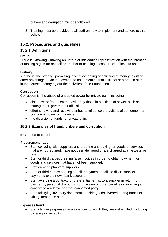bribery and corruption must be followed.

8. Training must be provided to all staff on how to implement and adhere to this policy.

# **15.2. Procedures and guidelines**

# **15.2.1 Definitions**

## **Fraud**

Fraud is: knowingly making an untrue or misleading representation with the intention of making a gain for oneself or another or causing a loss, or risk of loss, to another.

## **Bribery**

A bribe is: the offering, promising, giving, accepting or soliciting of money, a gift or other advantage as an inducement to do something that is illegal or a breach of trust in the course of carrying out the activities of the Foundation.

#### **Corruption**

Corruption is: the abuse of entrusted power for private gain, including:

- dishonest or fraudulent behaviour by those in positions of power, such as managers or government officials
- offering, giving and receiving bribes to influence the actions of someone in a position of power or influence
- the diversion of funds for private gain.

# **15.2.2 Examples of fraud, bribery and corruption**

#### **Examples of fraud**

Procurement fraud

- Staff colluding with suppliers and ordering and paying for goods or services that are not required, have not been delivered or are charged at an excessive rate.
- Staff or third parties creating false invoices in order to obtain payment for goods and services that have not been supplied.
- Staff creating phantom suppliers.
- Staff or third parties altering supplier payment details to divert supplier payments to their own bank account.
- Staff awarding a contract, or preferential terms, to a supplier in return for payments, personal discounts, commission or other benefits or awarding a contract to a relative or other connected party.
- Staff falsifying inventory documents to hide goods diverted during transit or taking items from stores.

#### Expenses fraud

• Staff claiming expenses or allowances to which they are not entitled, including by falsifying receipts.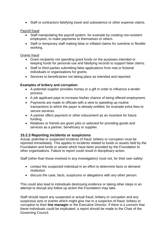• Staff or contractors falsifying travel and subsistence or other expense claims.

#### Payroll fraud

- Staff manipulating the payroll system, for example by creating non-existent employees, to make payments to themselves or others.
- Staff or temporary staff making false or inflated claims for overtime or flexible working.

#### Grants fraud

- Grant recipients not spending grant funds on the purposes intended or keeping funds for personal use and falsifying records to support false claims.
- Staff or third parties submitting false applications from real or fictional individuals or organisations for grants.
- Services to beneficiaries not taking place as intended and reported.

#### **Examples of bribery and corruption**

- A potential supplier provides money or a gift in order to influence a tender process.
- A job applicant pays to increase his/her chance of being offered employment.
- Payments are made to officials with a view to speeding up routine transactions to which the payer is already entitled, for example extra fees to secure services.
- A partner offers payment or other inducement as an incentive for future funding.
- Relatives or friends are given jobs or selected for providing goods and services as a partner, beneficiary or supplier.

#### **15.2.3 Reporting incidents or suspicions**

Actual, potential or suspected incidents of fraud, bribery or corruption must be reported immediately. This applies to incidents related to funds or assets held by the Foundation and funds or assets which have been provided by the Foundation to other organisations. Failure to report could result in disciplinary action.

Staff (other than those involved in any investigation) must not, for their own safety:

- contact the suspected individual in an effort to determine facts or demand restitution
- discuss the case, facts, suspicions or allegations with any other person.

This could also lead to individuals destroying evidence or taking other steps in an attempt to disrupt any follow up action the Foundation may take.

Staff should report any suspected or actual fraud, bribery or corruption and any suspicious acts or events which might give rise to a suspicion of fraud, bribery or corruption to their **line manager** or the Executive Director. If there is a concern that these individuals could be implicated, a report should be made to the Chair of the Governing Council.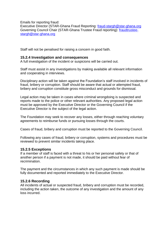Emails for reporting fraud: Executive Director (STAR-Ghana Fraud Reporting: [fraud-stargh@star-ghana.org](mailto:fraud-stargh@star-ghana.org) Governing Council Chair (STAR-Ghana Trustee Fraud reporting): [fraudtrustee](mailto:fraudtrustee-stargh@star-ghana.org)[stargh@star-ghana.org](mailto:fraudtrustee-stargh@star-ghana.org)

Staff will not be penalised for raising a concern in good faith.

#### **15.2.4 Investigation and consequences**

A full investigation of the incident or suspicions will be carried out.

Staff must assist in any investigations by making available all relevant information and cooperating in interviews.

Disciplinary action will be taken against the Foundation's staff involved in incidents of fraud, bribery or corruption. Staff should be aware that actual or attempted fraud, bribery and corruption constitute gross misconduct and grounds for dismissal.

Legal action may be taken in cases where criminal wrongdoing is suspected and reports made to the police or other relevant authorities. Any proposed legal action must be approved by the Executive Director or the Governing Council if the Executive Director is the subject of the legal action.

The Foundation may seek to recover any losses, either through reaching voluntary agreements to reimburse funds or pursuing losses through the courts.

Cases of fraud, bribery and corruption must be reported to the Governing Council.

Following any cases of fraud, bribery or corruption, systems and procedures must be reviewed to prevent similar incidents taking place.

#### **15.2.5 Exceptions**

If a member of staff is faced with a threat to his or her personal safety or that of another person if a payment is not made, it should be paid without fear of recrimination.

The payment and the circumstances in which any such payment is made should be fully documented and reported immediately to the Executive Director.

#### **15.2.6 Recording**

All incidents of actual or suspected fraud, bribery and corruption must be recorded, including the action taken, the outcome of any investigation and the amount of any loss incurred.